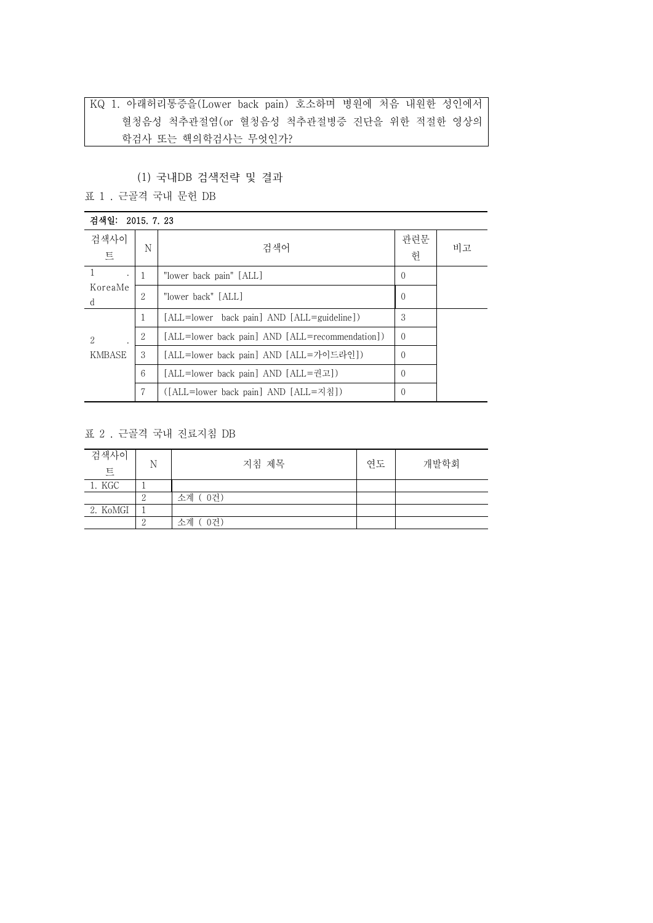KQ 1. 아래허리통증을(Lower back pain) 호소하며 병원에 처음 내원한 성인에서 혈청음성 척추관절염(or 혈청음성 척추관절병증 진단을 위한 적절한 영상의 학검사 또는 핵의학검사는 무엇인가?

### (1) 국내DB 검색전략 및 결과

표 1 . 근골격 국내 문헌 DB

| 검색일: 2015, 7, 23                         |                |                                                 |          |    |
|------------------------------------------|----------------|-------------------------------------------------|----------|----|
| 검색사이<br>트                                | N              | 검색어                                             | 관련문<br>헌 | 비고 |
| 1.<br>$\cdot$<br>KoreaMe<br><sub>d</sub> | 1              | "lower back pain" [ALL]                         | $\Omega$ |    |
|                                          | 2              | "lower back" [ALL]                              | $\Omega$ |    |
| 2<br>KMBASE                              | 1              | [ALL=lower back pain] AND [ALL=guideline])      | 3        |    |
|                                          | $\overline{2}$ | [ALL=lower back pain] AND [ALL=recommendation]) | $\Omega$ |    |
|                                          | 3              | [ALL=lower back pain] AND [ALL=가이드라인])          | $\Omega$ |    |
|                                          | 6              | [ALL=lower back pain] AND [ALL=권고])             | $\Omega$ |    |
|                                          | 7              | ([ALL=lower back pain] AND [ALL=지침])            | $\Omega$ |    |

### 표 2 . 근골격 국내 진료지침 DB

| 검색사이<br>트 | N | 지침 제목     | 연도 | 개발학회 |  |
|-----------|---|-----------|----|------|--|
| 1. KGC    |   |           |    |      |  |
|           |   | 소계 (0건)   |    |      |  |
| 2. KoMGI  |   |           |    |      |  |
|           |   | 소계<br>0건) |    |      |  |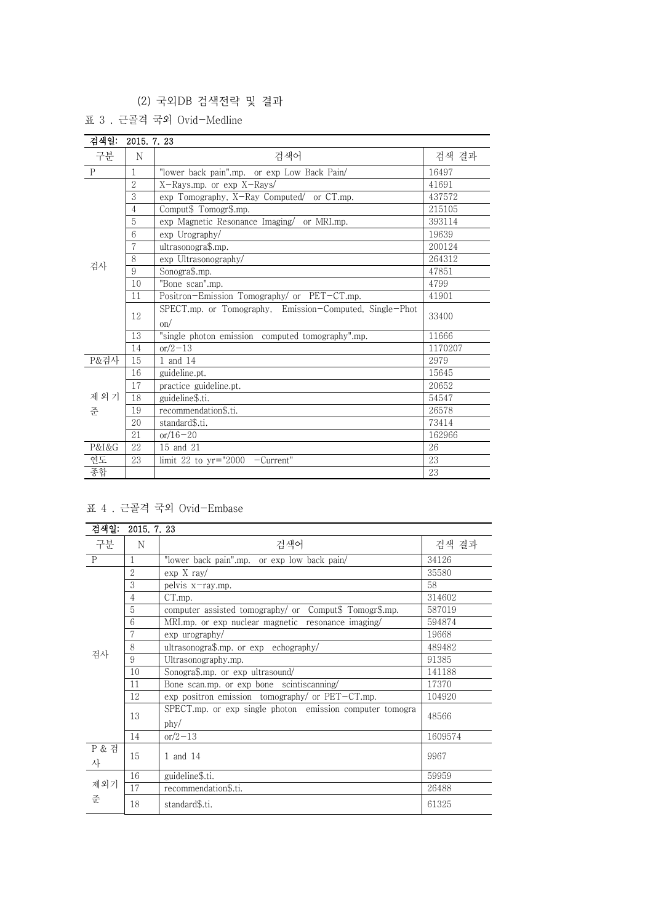# (2) 국외DB 검색전략 및 결과

표 3 . 근골격 국외 Ovid-Medline

| 검색일:        | 2015. 7. 23    |                                                                |         |  |  |
|-------------|----------------|----------------------------------------------------------------|---------|--|--|
| 구분          | N              | 검색어                                                            | 검색 결과   |  |  |
| $\mathbf P$ | 1              | "lower back pain".mp. or exp Low Back Pain/                    | 16497   |  |  |
|             | $\overline{2}$ | X-Rays.mp. or exp X-Rays/                                      | 41691   |  |  |
|             | 3              | exp Tomography, X-Ray Computed/ or CT.mp.                      | 437572  |  |  |
|             | $\overline{4}$ | Comput\$ Tomogr\$.mp.                                          | 215105  |  |  |
|             | $5\,$          | exp Magnetic Resonance Imaging/ or MRI.mp.                     | 393114  |  |  |
|             | 6              | exp Urography/                                                 | 19639   |  |  |
|             | 7              | ultrasonogra\$.mp.                                             | 200124  |  |  |
|             | 8              | exp Ultrasonography/                                           | 264312  |  |  |
| 검사          | 9              | Sonogra\$.mp.                                                  | 47851   |  |  |
|             | 10             | "Bone scan".mp.                                                | 4799    |  |  |
|             | 11             | Positron-Emission Tomography/ or PET-CT.mp.                    | 41901   |  |  |
|             | 12             | SPECT.mp. or Tomography, Emission-Computed, Single-Phot<br>on/ | 33400   |  |  |
|             | 13             | "single photon emission computed tomography".mp.               | 11666   |  |  |
|             | 14             | $or/2-13$                                                      | 1170207 |  |  |
| P&검사        | 15             | 1 and 14                                                       | 2979    |  |  |
|             | 16             | guideline.pt.                                                  | 15645   |  |  |
|             | 17             | practice guideline.pt.                                         | 20652   |  |  |
| 제외기         | 18             | guideline\$.ti.                                                | 54547   |  |  |
| 주           | 19             | recommendation\$.ti.                                           | 26578   |  |  |
|             | 20             | standard\$.ti.                                                 | 73414   |  |  |
|             | 21             | $or/16 - 20$                                                   | 162966  |  |  |
| P&I&G       | 22             | 15 and 21                                                      | 26      |  |  |
| 연도          | 23             | limit 22 to $yr="2000 -Current"$                               | 23      |  |  |
| 종합          |                |                                                                | 23      |  |  |

# 표 4 . 근골격 국외 Ovid-Embase

| 검색일:                  | 2015, 7, 23    |                                                                  |         |  |
|-----------------------|----------------|------------------------------------------------------------------|---------|--|
| 구분                    | N              | 검색어                                                              | 검색 결과   |  |
| $\mathbf{P}$          | 1              | "lower back pain".mp. or exp low back pain/                      | 34126   |  |
|                       | $\overline{2}$ | $\exp X \, \text{ray}/$                                          | 35580   |  |
|                       | 3              | pelvis x-ray.mp.                                                 | 58      |  |
|                       | $\overline{4}$ | CT.mp.                                                           | 314602  |  |
|                       | 5              | computer assisted tomography/ or Comput\$ Tomogr\$.mp.           | 587019  |  |
|                       | 6              | MRI.mp. or exp nuclear magnetic resonance imaging/               | 594874  |  |
|                       | $\overline{7}$ | $\exp$ urography/                                                | 19668   |  |
|                       | 8              | ultrasonogra\$.mp. or exp echography/                            | 489482  |  |
| 검사                    | 9              | Ultrasonography.mp.                                              | 91385   |  |
|                       | 10             | Sonogra\$.mp. or exp ultrasound/                                 | 141188  |  |
|                       | 11             | Bone scan.mp. or exp bone scintiscanning                         | 17370   |  |
|                       | 12             | $\exp$ positron emission tomography/ or PET-CT.mp.               | 104920  |  |
|                       | 13             | SPECT.mp. or exp single photon emission computer tomogra<br>phy/ | 48566   |  |
|                       | 14             | $or/2-13$                                                        | 1609574 |  |
| <b>P &amp; 검</b><br>사 | 15             | 1 and 14                                                         | 9967    |  |
| 제외기<br>준              | 16             | guideline\$.ti.                                                  | 59959   |  |
|                       | 17             | recommendation\$.ti.                                             | 26488   |  |
|                       | 18             | standard\$.ti.                                                   | 61325   |  |